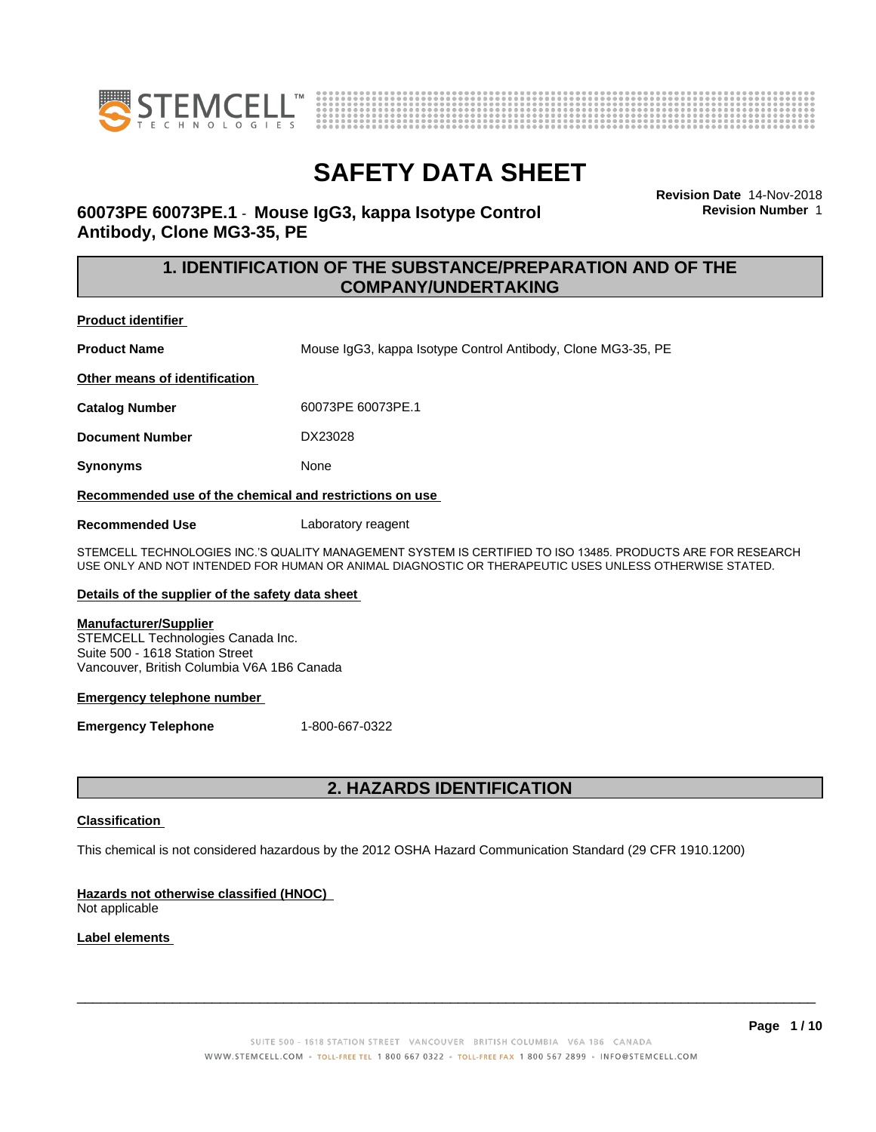



**Revision Date** 14-Nov-2018 **Revision Number** 1

### **60073PE 60073PE.1** - **Mouse IgG3, kappa Isotype Control Antibody, Clone MG3-35, PE**

### **1. IDENTIFICATION OF THE SUBSTANCE/PREPARATION AND OF THE COMPANY/UNDERTAKING**

**Product identifier**

**Product Name** Mouse IgG3, kappa Isotype Control Antibody, Clone MG3-35, PE

**Other means of identification**

**Catalog Number** 60073PE 60073PE.1

**Document Number** DX23028

**Synonyms** None

**Recommended use of the chemical and restrictions on use**

**Recommended Use** Laboratory reagent

STEMCELL TECHNOLOGIES INC.'S QUALITY MANAGEMENT SYSTEM IS CERTIFIED TO ISO 13485. PRODUCTS ARE FOR RESEARCH USE ONLY AND NOT INTENDED FOR HUMAN OR ANIMAL DIAGNOSTIC OR THERAPEUTIC USES UNLESS OTHERWISE STATED.

### **Details of the supplier of the safety data sheet**

### **Manufacturer/Supplier**

STEMCELL Technologies Canada Inc. Suite 500 - 1618 Station Street Vancouver, British Columbia V6A 1B6 Canada

### **Emergency telephone number**

**Emergency Telephone** 1-800-667-0322

### **2. HAZARDS IDENTIFICATION**

### **Classification**

This chemical is not considered hazardous by the 2012 OSHA Hazard Communication Standard (29 CFR 1910.1200)

### **Hazards not otherwise classified (HNOC)**

Not applicable

### **Label elements**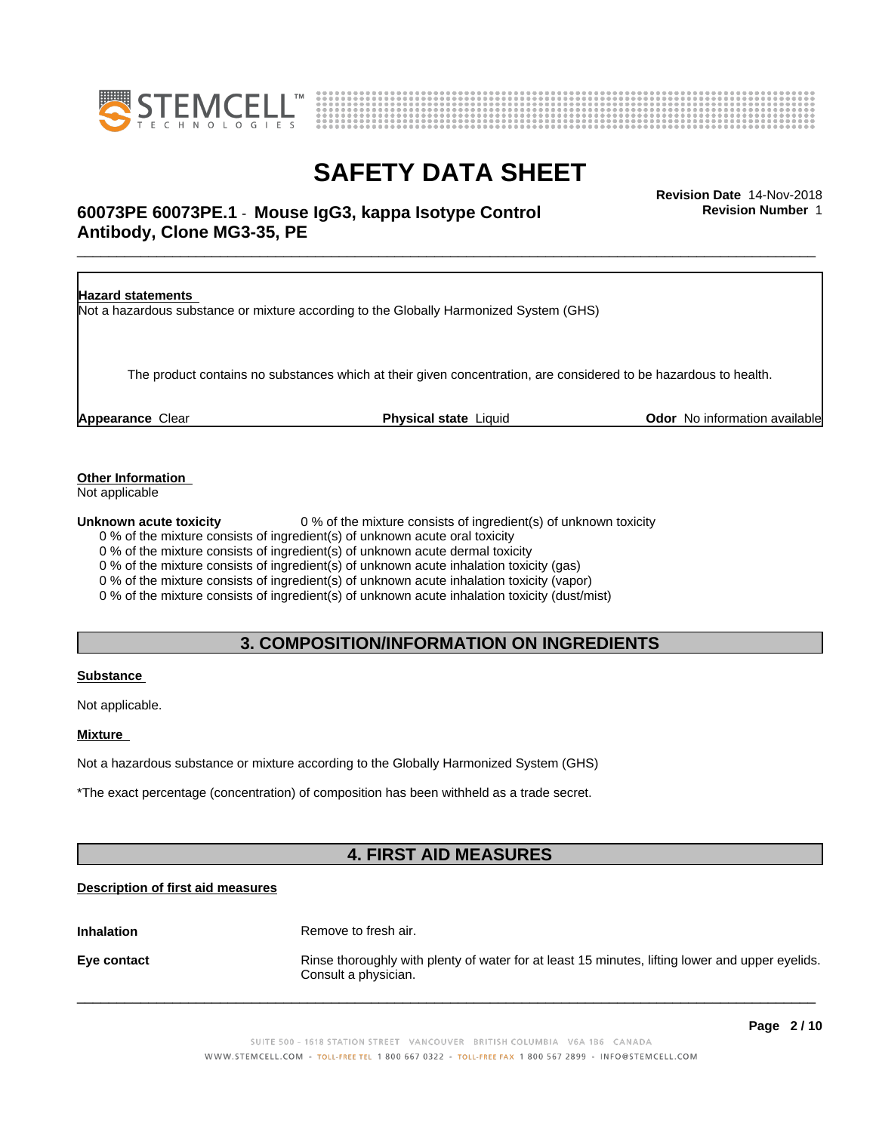



### \_\_\_\_\_\_\_\_\_\_\_\_\_\_\_\_\_\_\_\_\_\_\_\_\_\_\_\_\_\_\_\_\_\_\_\_\_\_\_\_\_\_\_\_\_\_\_\_\_\_\_\_\_\_\_\_\_\_\_\_\_\_\_\_\_\_\_\_\_\_\_\_\_\_\_\_\_\_\_\_\_\_\_\_\_\_\_\_\_\_\_\_\_ **Revision Date** 14-Nov-2018 **60073PE 60073PE.1** - **Mouse IgG3, kappa Isotype Control Antibody, Clone MG3-35, PE**

**Revision Number** 1



**Other Information**

Not applicable

**Unknown acute toxicity** 0 % of the mixture consists of ingredient(s) of unknown toxicity

0 % of the mixture consists of ingredient(s) of unknown acute oral toxicity

0 % of the mixture consists of ingredient(s) of unknown acute dermal toxicity

0 % of the mixture consists of ingredient(s) of unknown acute inhalation toxicity (gas)

0 % of the mixture consists of ingredient(s) of unknown acute inhalation toxicity (vapor)

0 % of the mixture consists of ingredient(s) of unknown acute inhalation toxicity (dust/mist)

### **3. COMPOSITION/INFORMATION ON INGREDIENTS**

### **Substance**

Not applicable.

### **Mixture**

Not a hazardous substance or mixture according to the Globally Harmonized System (GHS)

\*The exact percentage (concentration) of composition has been withheld as a trade secret.

### **4. FIRST AID MEASURES**

### **Description of first aid measures**

**Inhalation** Remove to fresh air.

**Eye contact Rinse thoroughly with plenty of water for at least 15 minutes, lifting lower and upper eyelids.** Consult a physician.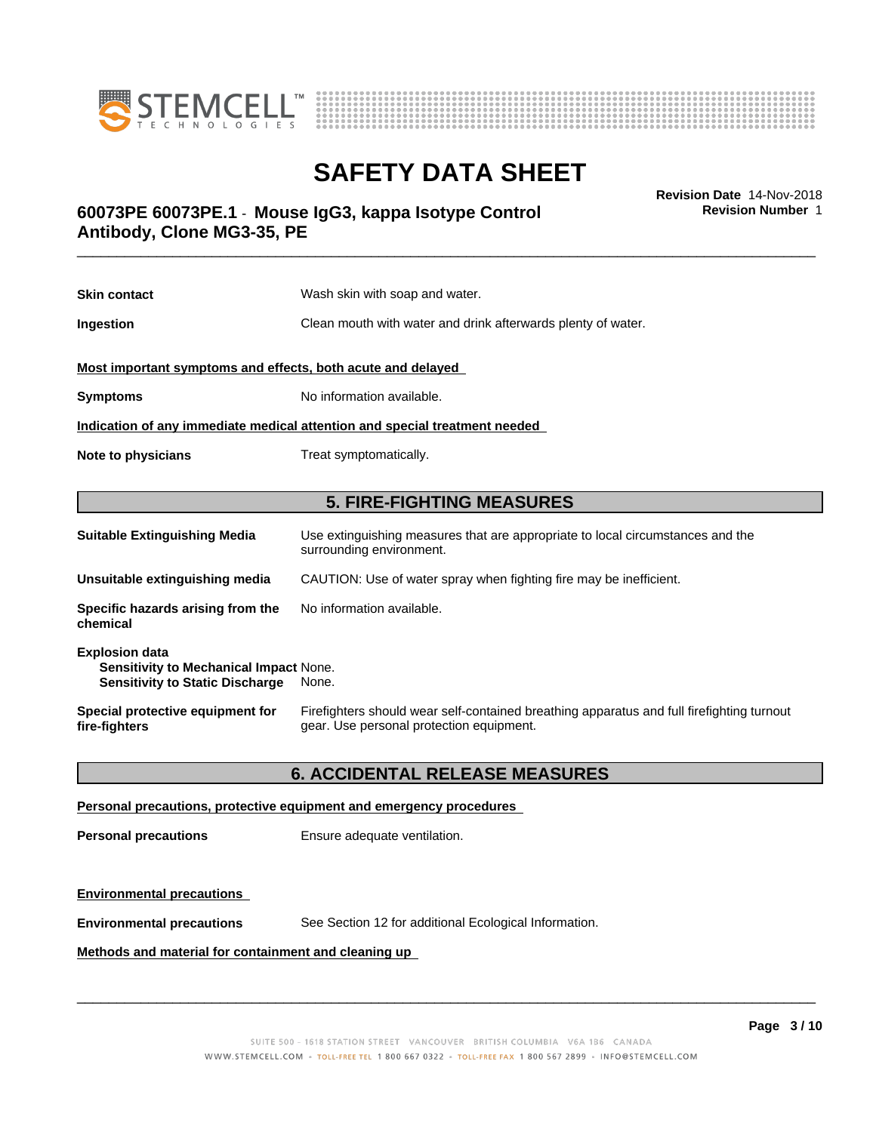



**Revision Number** 1

### \_\_\_\_\_\_\_\_\_\_\_\_\_\_\_\_\_\_\_\_\_\_\_\_\_\_\_\_\_\_\_\_\_\_\_\_\_\_\_\_\_\_\_\_\_\_\_\_\_\_\_\_\_\_\_\_\_\_\_\_\_\_\_\_\_\_\_\_\_\_\_\_\_\_\_\_\_\_\_\_\_\_\_\_\_\_\_\_\_\_\_\_\_ **Revision Date** 14-Nov-2018 **60073PE 60073PE.1** - **Mouse IgG3, kappa Isotype Control Antibody, Clone MG3-35, PE**

| <b>Skin contact</b>                                                                                       | Wash skin with soap and water.                                                                                                        |  |
|-----------------------------------------------------------------------------------------------------------|---------------------------------------------------------------------------------------------------------------------------------------|--|
| Ingestion                                                                                                 | Clean mouth with water and drink afterwards plenty of water.                                                                          |  |
| Most important symptoms and effects, both acute and delayed                                               |                                                                                                                                       |  |
| <b>Symptoms</b>                                                                                           | No information available.                                                                                                             |  |
|                                                                                                           | Indication of any immediate medical attention and special treatment needed                                                            |  |
| Note to physicians                                                                                        | Treat symptomatically.                                                                                                                |  |
|                                                                                                           |                                                                                                                                       |  |
|                                                                                                           | <b>5. FIRE-FIGHTING MEASURES</b>                                                                                                      |  |
| <b>Suitable Extinguishing Media</b>                                                                       | Use extinguishing measures that are appropriate to local circumstances and the<br>surrounding environment.                            |  |
| Unsuitable extinguishing media                                                                            | CAUTION: Use of water spray when fighting fire may be inefficient.                                                                    |  |
| Specific hazards arising from the<br>chemical                                                             | No information available.                                                                                                             |  |
| <b>Explosion data</b><br>Sensitivity to Mechanical Impact None.<br><b>Sensitivity to Static Discharge</b> | None.                                                                                                                                 |  |
| Special protective equipment for<br>fire-fighters                                                         | Firefighters should wear self-contained breathing apparatus and full firefighting turnout<br>gear. Use personal protection equipment. |  |

### **6. ACCIDENTAL RELEASE MEASURES**

### **Personal precautions, protective equipment and emergency procedures**

**Personal precautions** Ensure adequate ventilation.

### **Environmental precautions**

**Environmental precautions** See Section 12 for additional Ecological Information.

### **Methods and material for containment and cleaning up**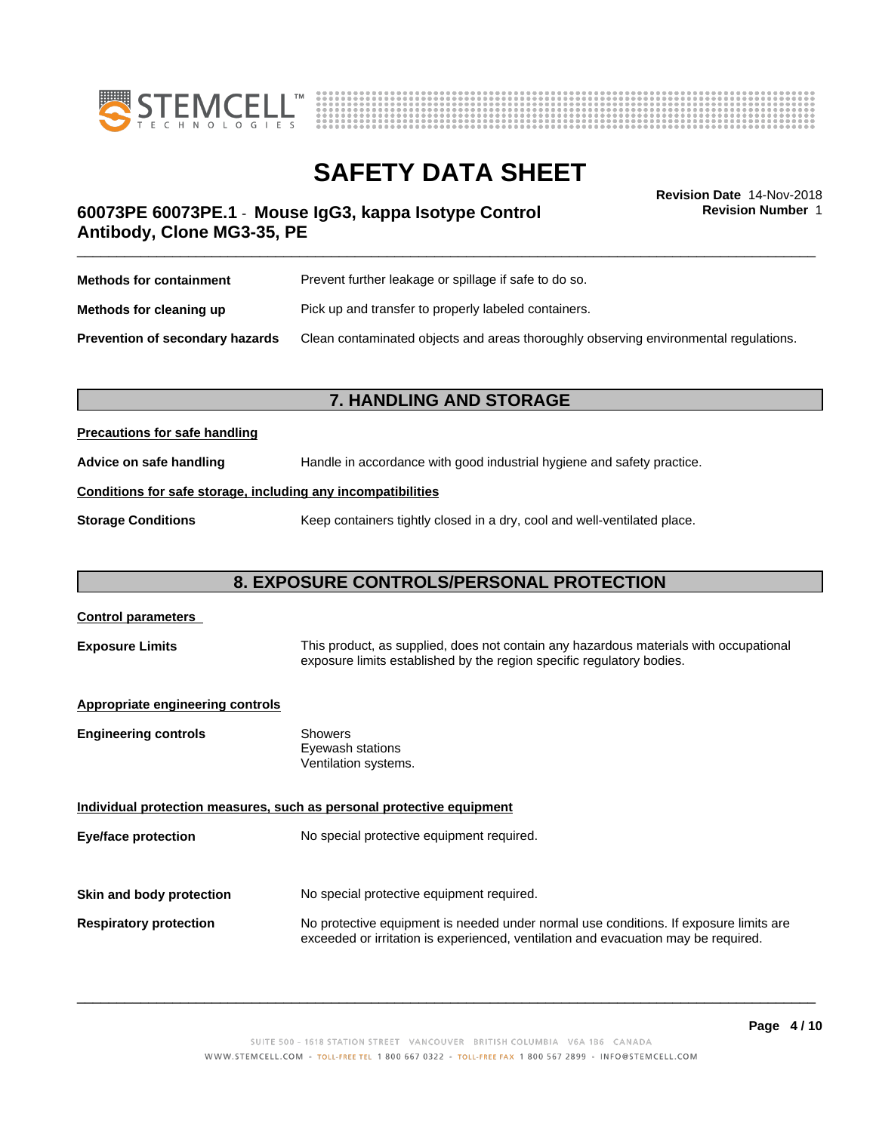



**Revision Number** 1

### \_\_\_\_\_\_\_\_\_\_\_\_\_\_\_\_\_\_\_\_\_\_\_\_\_\_\_\_\_\_\_\_\_\_\_\_\_\_\_\_\_\_\_\_\_\_\_\_\_\_\_\_\_\_\_\_\_\_\_\_\_\_\_\_\_\_\_\_\_\_\_\_\_\_\_\_\_\_\_\_\_\_\_\_\_\_\_\_\_\_\_\_\_ **Revision Date** 14-Nov-2018 **60073PE 60073PE.1** - **Mouse IgG3, kappa Isotype Control Antibody, Clone MG3-35, PE**

| <b>Methods for containment</b>         | Prevent further leakage or spillage if safe to do so.                                |  |
|----------------------------------------|--------------------------------------------------------------------------------------|--|
| Methods for cleaning up                | Pick up and transfer to properly labeled containers.                                 |  |
| <b>Prevention of secondary hazards</b> | Clean contaminated objects and areas thoroughly observing environmental regulations. |  |

### **7. HANDLING AND STORAGE**

### **Precautions for safe handling**

**Advice on safe handling** Handle in accordance with good industrial hygiene and safety practice.

### **Conditions for safe storage, including any incompatibilities**

**Storage Conditions** Keep containers tightly closed in a dry, cool and well-ventilated place.

### **8. EXPOSURE CONTROLS/PERSONAL PROTECTION**

## **Control parameters Exposure Limits** This product, as supplied, does not contain any hazardous materials with occupational exposure limits established by the region specific regulatory bodies. **Appropriate engineering controls Engineering controls** Showers Eyewash stations Ventilation systems. **Individual protection measures, such as personal protective equipment Eye/face protection** No special protective equipment required. **Skin and body protection** No special protective equipment required. **Respiratory protection** No protective equipment is needed under normal use conditions. If exposure limits are exceeded or irritation is experienced, ventilation and evacuation may be required.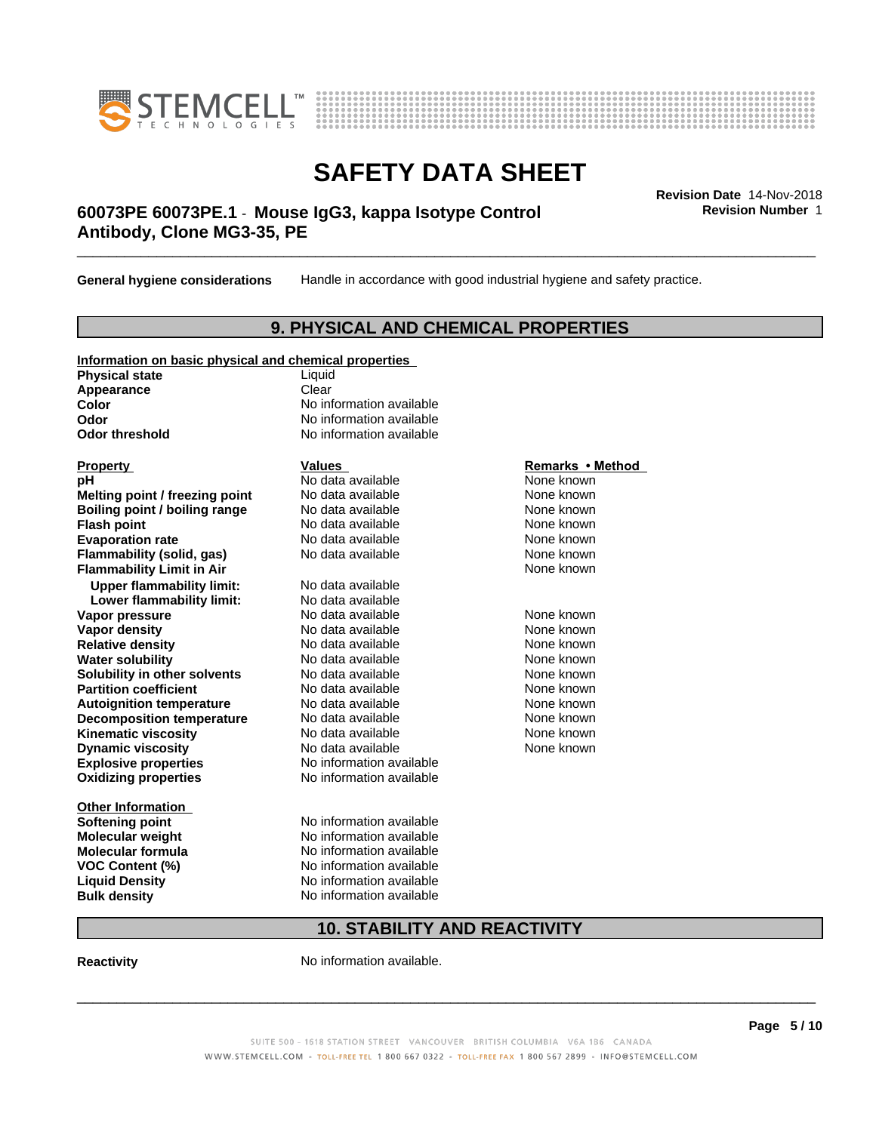



### \_\_\_\_\_\_\_\_\_\_\_\_\_\_\_\_\_\_\_\_\_\_\_\_\_\_\_\_\_\_\_\_\_\_\_\_\_\_\_\_\_\_\_\_\_\_\_\_\_\_\_\_\_\_\_\_\_\_\_\_\_\_\_\_\_\_\_\_\_\_\_\_\_\_\_\_\_\_\_\_\_\_\_\_\_\_\_\_\_\_\_\_\_ **Revision Date** 14-Nov-2018 **60073PE 60073PE.1** - **Mouse IgG3, kappa Isotype Control Antibody, Clone MG3-35, PE**

**General hygiene considerations** Handle in accordance with good industrial hygiene and safety practice.

### **9. PHYSICAL AND CHEMICAL PROPERTIES**

### **Information on basic physical and chemical properties**

**Physical state** Liquid Appearance **Clear** 

**Explosive properties**<br> **Oxidizing properties**<br>
No information available **Oxidizing properties Property Remarks •Method Property Remarks •Method pH** No data available None known<br> **Melting point / freezing point** No data available None known **Melting point / freezing point** No data available None known<br> **Boiling point / boiling range** No data available None known **Boiling point / boiling range Flash point No data available None known Evaporation rate Cone Cone Access Mode to Access 10 and 7 and 7 and 7 and 7 and 7 and 7 and 7 and 7 and 7 and 7 and 7 and 7 and 7 and 7 and 7 and 7 and 7 and 7 and 7 and 7 and 7 and 7 and 7 and 7 and 7 and 7 and 7 and 7 Flammability (solid, gas)** No data available None known **Flammability Limit in Air Air 1988 1999 <b>1999 1999**  None known **Upper flammability limit:** No data available **Lower flammability limit:** No data available **Vapor pressure No data available None known Vapor density**<br> **Relative density**<br>
No data available None Known<br>
None known **Relative density No data available and the Shown None known**<br> **Water solubility No data available None known None known Water solubility Solubility in other solvents** No data available None known<br> **Partition coefficient** No data available None known<br>
None known **Partition coefficient**<br> **Autoignition temperature**<br>
No data available None None known<br>
None known **Autoignition temperature No data available None known**<br> **Decomposition temperature** No data available **None known**<br>
None known **Decomposition temperature** No data available<br> **Kinematic viscosity** No data available **Kinematic viscosity No data available None known**<br> **Notata available None known**<br>
Notata available **None known Dynamic viscosity No data available None known** 

**Other Information VOC** Content (%)

**Color** No information available **Odor** No information available **Odor threshold** No information available

**Softening point** No information available **Molecular weight** No information available **Molecular formula No information available**<br>**VOC Content (%)** No information available **Liquid Density** No information available **Bulk density** No information available

### **10. STABILITY AND REACTIVITY**

**Reactivity No information available.** 

SUITE 500 - 1618 STATION STREET VANCOUVER BRITISH COLUMBIA V6A 1B6 CANADA WWW.STEMCELL.COM • TOLL-FREE TEL 1 800 667 0322 • TOLL-FREE FAX 1 800 567 2899 • INFO@STEMCELL.COM

 $\overline{\phantom{a}}$  ,  $\overline{\phantom{a}}$  ,  $\overline{\phantom{a}}$  ,  $\overline{\phantom{a}}$  ,  $\overline{\phantom{a}}$  ,  $\overline{\phantom{a}}$  ,  $\overline{\phantom{a}}$  ,  $\overline{\phantom{a}}$  ,  $\overline{\phantom{a}}$  ,  $\overline{\phantom{a}}$  ,  $\overline{\phantom{a}}$  ,  $\overline{\phantom{a}}$  ,  $\overline{\phantom{a}}$  ,  $\overline{\phantom{a}}$  ,  $\overline{\phantom{a}}$  ,  $\overline{\phantom{a}}$ 

**Revision Number** 1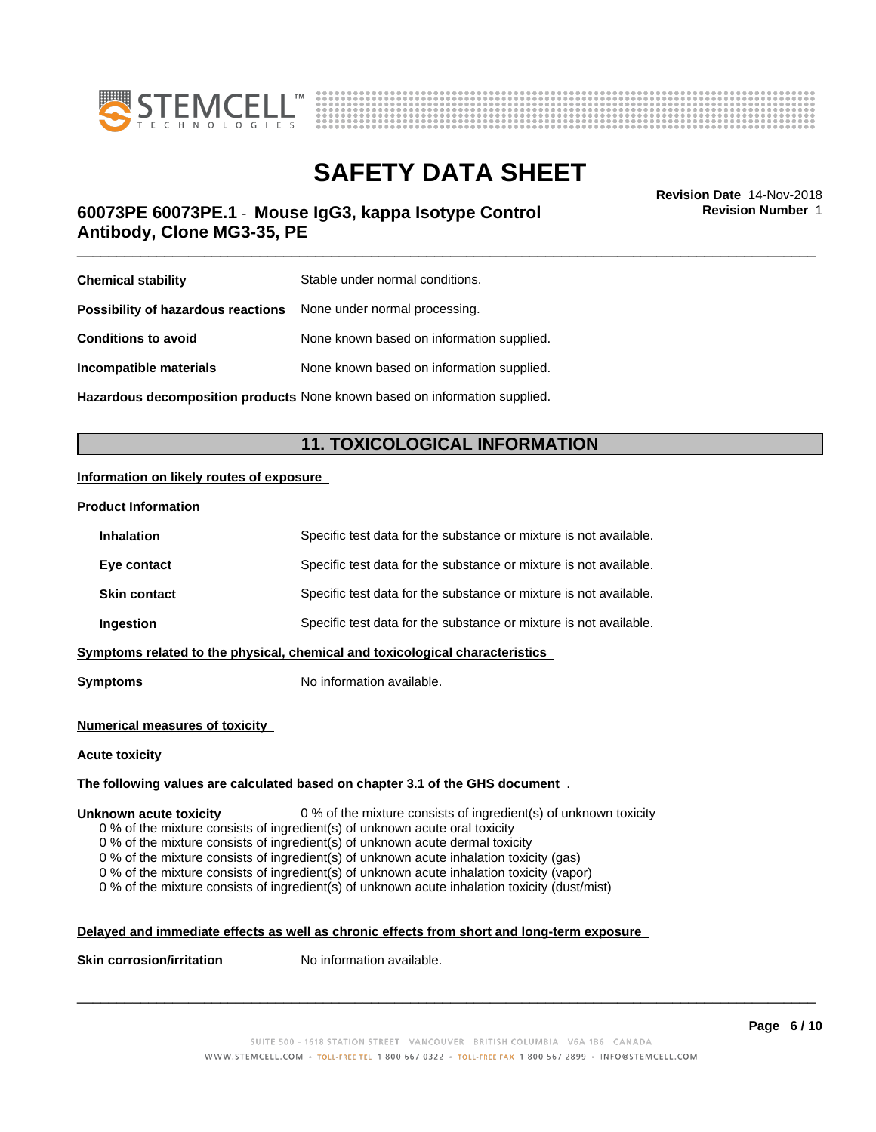



# **SAFETY DATA SHEET**<br>Revision Date 14-Nov-2018

### \_\_\_\_\_\_\_\_\_\_\_\_\_\_\_\_\_\_\_\_\_\_\_\_\_\_\_\_\_\_\_\_\_\_\_\_\_\_\_\_\_\_\_\_\_\_\_\_\_\_\_\_\_\_\_\_\_\_\_\_\_\_\_\_\_\_\_\_\_\_\_\_\_\_\_\_\_\_\_\_\_\_\_\_\_\_\_\_\_\_\_\_\_ **Revision Date** 14-Nov-2018 **60073PE 60073PE.1** - **Mouse IgG3, kappa Isotype Control Antibody, Clone MG3-35, PE**

**Revision Number** 1

| <b>Chemical stability</b>                                               | Stable under normal conditions.           |
|-------------------------------------------------------------------------|-------------------------------------------|
| <b>Possibility of hazardous reactions</b> None under normal processing. |                                           |
| <b>Conditions to avoid</b>                                              | None known based on information supplied. |
| Incompatible materials                                                  | None known based on information supplied. |
|                                                                         |                                           |

**Hazardous decomposition products** None known based on information supplied.

### **11. TOXICOLOGICAL INFORMATION**

### **Information on likely routes of exposure**

### **Product Information**

| <b>Inhalation</b>   | Specific test data for the substance or mixture is not available.            |
|---------------------|------------------------------------------------------------------------------|
| Eye contact         | Specific test data for the substance or mixture is not available.            |
| <b>Skin contact</b> | Specific test data for the substance or mixture is not available.            |
| Ingestion           | Specific test data for the substance or mixture is not available.            |
|                     | Symptoms related to the physical, chemical and toxicological characteristics |
|                     |                                                                              |

**Symptoms** No information available.

### **Numerical measures of toxicity**

### **Acute toxicity**

### **The following values are calculated based on chapter 3.1 of the GHS document** .

### **Unknown acute toxicity** 0 % of the mixture consists of ingredient(s) of unknown toxicity

0 % of the mixture consists of ingredient(s) of unknown acute oral toxicity

0 % of the mixture consists of ingredient(s) of unknown acute dermal toxicity

0 % of the mixture consists of ingredient(s) of unknown acute inhalation toxicity (gas)

0 % of the mixture consists of ingredient(s) of unknown acute inhalation toxicity (vapor)

0 % of the mixture consists of ingredient(s) of unknown acute inhalation toxicity (dust/mist)

### **Delayed and immediate effects as well as chronic effects from short and long-term exposure**

**Skin corrosion/irritation** No information available.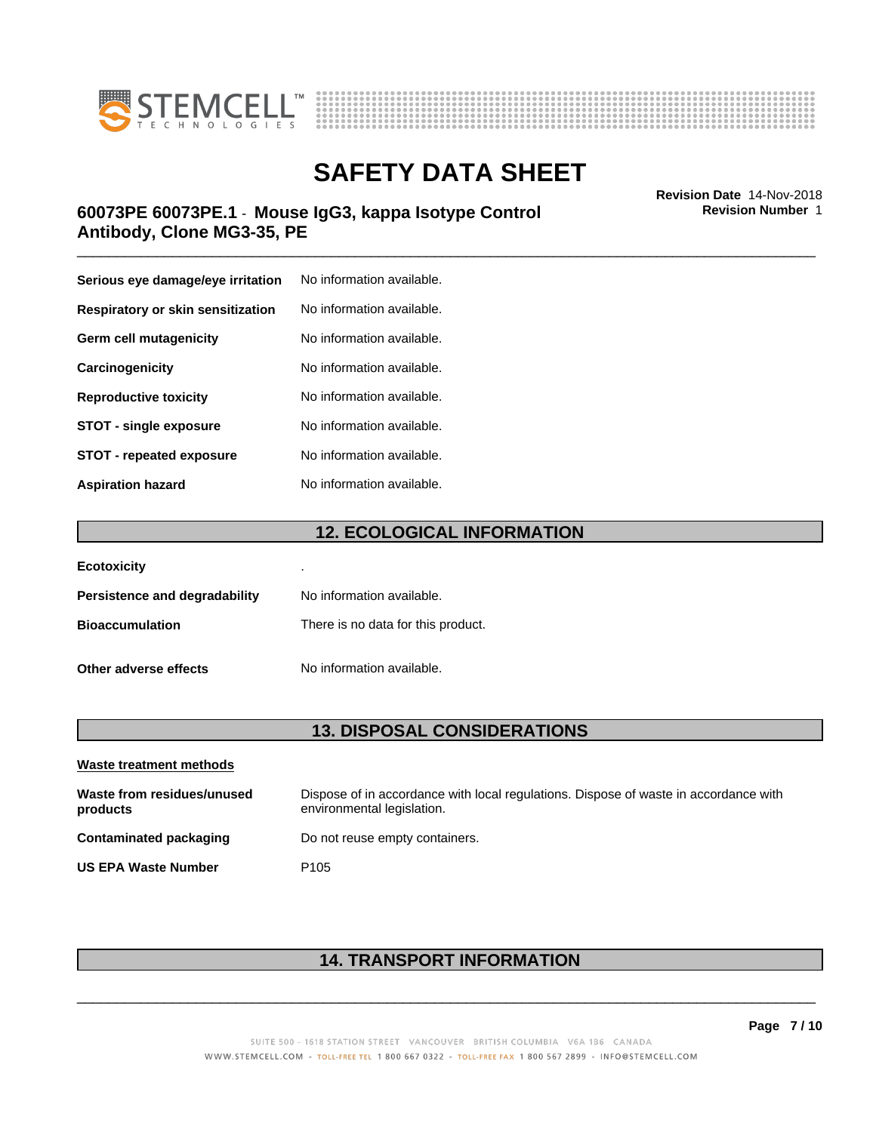



### \_\_\_\_\_\_\_\_\_\_\_\_\_\_\_\_\_\_\_\_\_\_\_\_\_\_\_\_\_\_\_\_\_\_\_\_\_\_\_\_\_\_\_\_\_\_\_\_\_\_\_\_\_\_\_\_\_\_\_\_\_\_\_\_\_\_\_\_\_\_\_\_\_\_\_\_\_\_\_\_\_\_\_\_\_\_\_\_\_\_\_\_\_ **Revision Date** 14-Nov-2018 **60073PE 60073PE.1** - **Mouse IgG3, kappa Isotype Control Antibody, Clone MG3-35, PE**

| Serious eye damage/eye irritation | No information available. |
|-----------------------------------|---------------------------|
| Respiratory or skin sensitization | No information available. |
| Germ cell mutagenicity            | No information available. |
| Carcinogenicity                   | No information available. |
| <b>Reproductive toxicity</b>      | No information available. |
| <b>STOT - single exposure</b>     | No information available. |
| <b>STOT - repeated exposure</b>   | No information available. |
| <b>Aspiration hazard</b>          | No information available. |

### **12. ECOLOGICAL INFORMATION**

| <b>Ecotoxicity</b>            | ٠                                  |
|-------------------------------|------------------------------------|
| Persistence and degradability | No information available.          |
| <b>Bioaccumulation</b>        | There is no data for this product. |
| Other adverse effects         | No information available.          |

### **13. DISPOSAL CONSIDERATIONS**

| Waste treatment methods                |                                                                                                                    |
|----------------------------------------|--------------------------------------------------------------------------------------------------------------------|
| Waste from residues/unused<br>products | Dispose of in accordance with local regulations. Dispose of waste in accordance with<br>environmental legislation. |
| Contaminated packaging                 | Do not reuse empty containers.                                                                                     |
| <b>US EPA Waste Number</b>             | P <sub>105</sub>                                                                                                   |

### **14. TRANSPORT INFORMATION**

**Revision Number** 1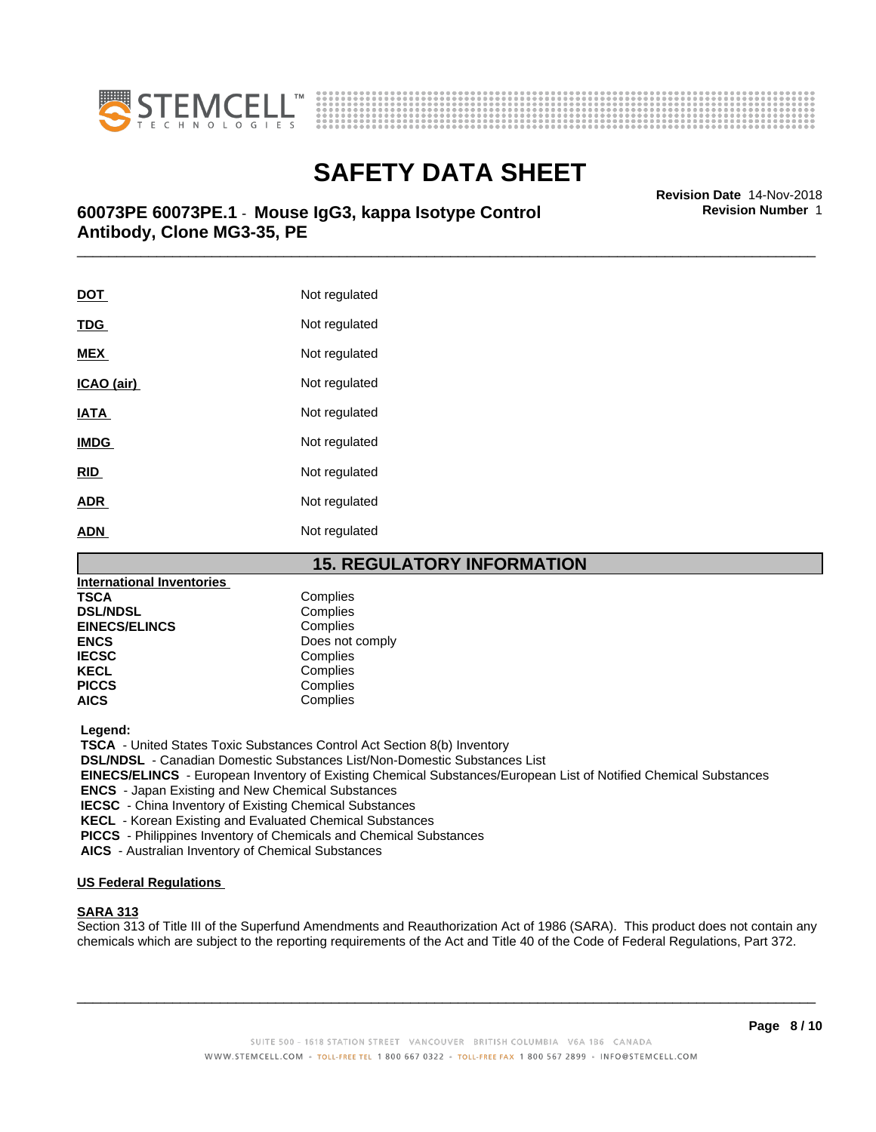



\_\_\_\_\_\_\_\_\_\_\_\_\_\_\_\_\_\_\_\_\_\_\_\_\_\_\_\_\_\_\_\_\_\_\_\_\_\_\_\_\_\_\_\_\_\_\_\_\_\_\_\_\_\_\_\_\_\_\_\_\_\_\_\_\_\_\_\_\_\_\_\_\_\_\_\_\_\_\_\_\_\_\_\_\_\_\_\_\_\_\_\_\_ **Revision Date** 14-Nov-2018 **60073PE 60073PE.1** - **Mouse IgG3, kappa Isotype Control Antibody, Clone MG3-35, PE**

| <u>DOT</u>  | Not regulated |
|-------------|---------------|
| <b>TDG</b>  | Not regulated |
| <b>MEX</b>  | Not regulated |
| ICAO (air)  | Not regulated |
| <b>IATA</b> | Not regulated |
| <b>IMDG</b> | Not regulated |
| <b>RID</b>  | Not regulated |
| <b>ADR</b>  | Not regulated |
| <b>ADN</b>  | Not regulated |

### **15. REGULATORY INFORMATION**

| <b>International Inventories</b> |                 |  |
|----------------------------------|-----------------|--|
| <b>TSCA</b>                      | Complies        |  |
| <b>DSL/NDSL</b>                  | Complies        |  |
| <b>EINECS/ELINCS</b>             | Complies        |  |
| <b>ENCS</b>                      | Does not comply |  |
| <b>IECSC</b>                     | Complies        |  |
| <b>KECL</b>                      | Complies        |  |
| <b>PICCS</b>                     | Complies        |  |
| <b>AICS</b>                      | Complies        |  |
|                                  |                 |  |

 **Legend:**

 **TSCA** - United States Toxic Substances Control Act Section 8(b) Inventory

 **DSL/NDSL** - Canadian Domestic Substances List/Non-Domestic Substances List

 **EINECS/ELINCS** - European Inventory of Existing Chemical Substances/European List of Notified Chemical Substances

 **ENCS** - Japan Existing and New Chemical Substances

 **IECSC** - China Inventory of Existing Chemical Substances

 **KECL** - Korean Existing and Evaluated Chemical Substances

 **PICCS** - Philippines Inventory of Chemicals and Chemical Substances

 **AICS** - Australian Inventory of Chemical Substances

### **US Federal Regulations**

### **SARA 313**

Section 313 of Title III of the Superfund Amendments and Reauthorization Act of 1986 (SARA). This product does not contain any chemicals which are subject to the reporting requirements of the Act and Title 40 of the Code of Federal Regulations, Part 372.

 $\overline{\phantom{a}}$  ,  $\overline{\phantom{a}}$  ,  $\overline{\phantom{a}}$  ,  $\overline{\phantom{a}}$  ,  $\overline{\phantom{a}}$  ,  $\overline{\phantom{a}}$  ,  $\overline{\phantom{a}}$  ,  $\overline{\phantom{a}}$  ,  $\overline{\phantom{a}}$  ,  $\overline{\phantom{a}}$  ,  $\overline{\phantom{a}}$  ,  $\overline{\phantom{a}}$  ,  $\overline{\phantom{a}}$  ,  $\overline{\phantom{a}}$  ,  $\overline{\phantom{a}}$  ,  $\overline{\phantom{a}}$ 

**Revision Number** 1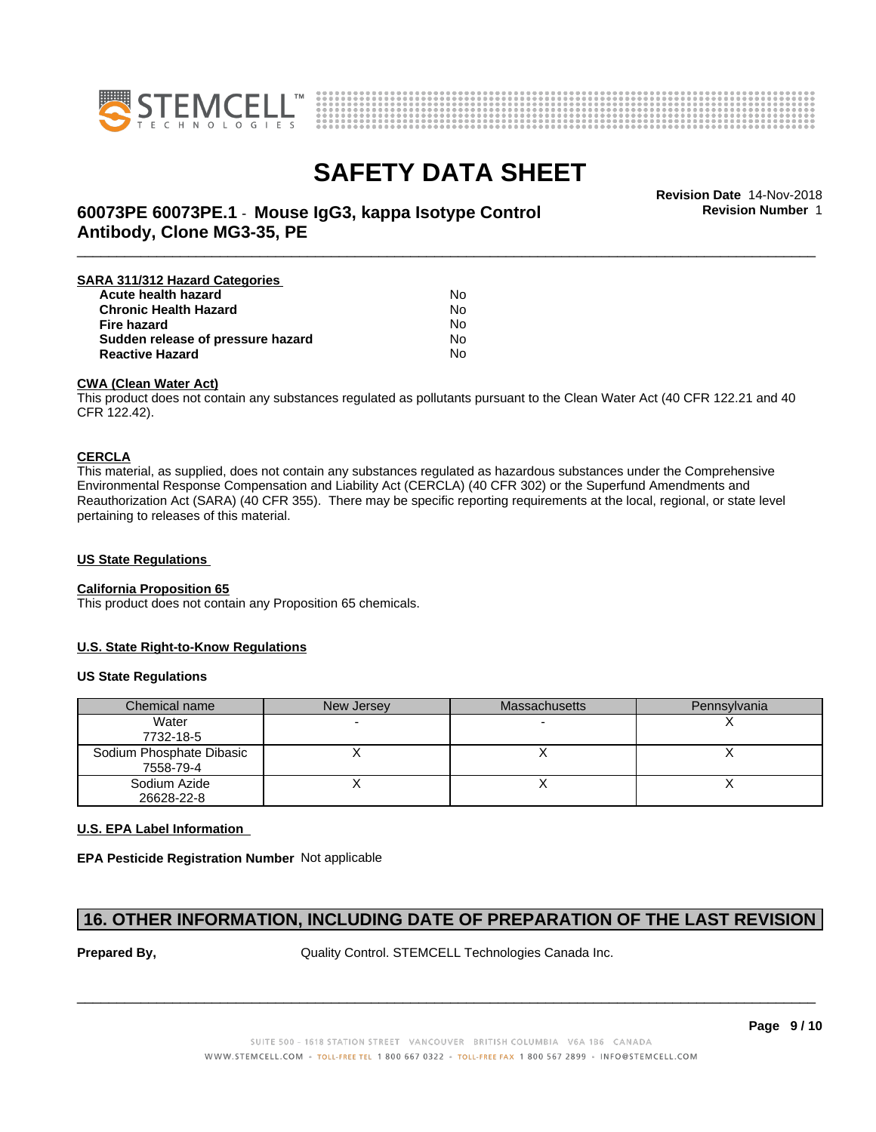



**Revision Number** 1

### \_\_\_\_\_\_\_\_\_\_\_\_\_\_\_\_\_\_\_\_\_\_\_\_\_\_\_\_\_\_\_\_\_\_\_\_\_\_\_\_\_\_\_\_\_\_\_\_\_\_\_\_\_\_\_\_\_\_\_\_\_\_\_\_\_\_\_\_\_\_\_\_\_\_\_\_\_\_\_\_\_\_\_\_\_\_\_\_\_\_\_\_\_ **Revision Date** 14-Nov-2018 **60073PE 60073PE.1** - **Mouse IgG3, kappa Isotype Control Antibody, Clone MG3-35, PE**

| No |  |
|----|--|
| No |  |
| No |  |
| N٥ |  |
| No |  |
|    |  |

### **CWA (Clean WaterAct)**

This product does not contain any substances regulated as pollutants pursuant to the Clean Water Act (40 CFR 122.21 and 40 CFR 122.42).

### **CERCLA**

This material, as supplied, does not contain any substances regulated as hazardous substances under the Comprehensive Environmental Response Compensation and Liability Act (CERCLA) (40 CFR 302) or the Superfund Amendments and Reauthorization Act (SARA) (40 CFR 355). There may be specific reporting requirements at the local, regional, or state level pertaining to releases of this material.

### **US State Regulations**

### **California Proposition 65**

This product does not contain any Proposition 65 chemicals.

### **U.S. State Right-to-Know Regulations**

### **US State Regulations**

| Chemical name                         | New Jersey | <b>Massachusetts</b> | Pennsylvania |
|---------------------------------------|------------|----------------------|--------------|
| Water<br>7732-18-5                    |            |                      |              |
| Sodium Phosphate Dibasic<br>7558-79-4 |            |                      |              |
| Sodium Azide<br>26628-22-8            |            |                      |              |

### **U.S. EPA Label Information**

**EPA Pesticide Registration Number** Not applicable

### **16. OTHER INFORMATION, INCLUDING DATE OF PREPARATION OF THE LAST REVISION**

**Prepared By, State Control. STEMCELL Technologies Canada Inc.**